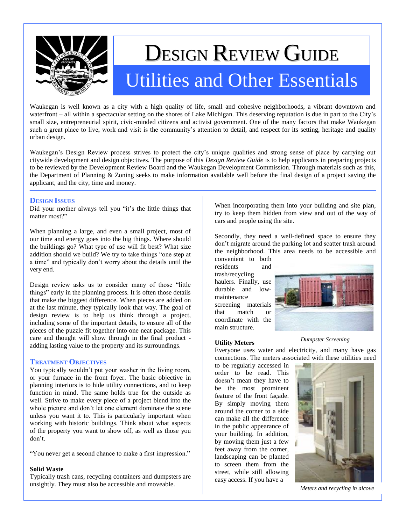

# DESIGN REVIEW GUIDE Utilities and Other Essentials

Waukegan is well known as a city with a high quality of life, small and cohesive neighborhoods, a vibrant downtown and waterfront – all within a spectacular setting on the shores of Lake Michigan. This deserving reputation is due in part to the City's small size, entrepreneurial spirit, civic-minded citizens and activist government. One of the many factors that make Waukegan such a great place to live, work and visit is the community's attention to detail, and respect for its setting, heritage and quality urban design.

Waukegan's Design Review process strives to protect the city's unique qualities and strong sense of place by carrying out citywide development and design objectives. The purpose of this *Design Review Guide* is to help applicants in preparing projects to be reviewed by the Development Review Board and the Waukegan Development Commission. Through materials such as this, the Department of Planning & Zoning seeks to make information available well before the final design of a project saving the applicant, and the city, time and money.

# **DESIGN ISSUES**

Did your mother always tell you "it's the little things that matter most?"

When planning a large, and even a small project, most of our time and energy goes into the big things. Where should the buildings go? What type of use will fit best? What size addition should we build? We try to take things "one step at a time" and typically don't worry about the details until the very end.

Design review asks us to consider many of those "little things" early in the planning process. It is often those details that make the biggest difference. When pieces are added on at the last minute, they typically look that way. The goal of design review is to help us think through a project, including some of the important details, to ensure all of the pieces of the puzzle fit together into one neat package. This care and thought will show through in the final product adding lasting value to the property and its surroundings.

## **TREATMENT OBJECTIVES**

You typically wouldn't put your washer in the living room, or your furnace in the front foyer. The basic objective in planning interiors is to hide utility connections, and to keep function in mind. The same holds true for the outside as well. Strive to make every piece of a project blend into the whole picture and don't let one element dominate the scene unless you want it to. This is particularly important when working with historic buildings. Think about what aspects of the property you want to show off, as well as those you don't.

"You never get a second chance to make a first impression."

## **Solid Waste**

Typically trash cans, recycling containers and dumpsters are unsightly. They must also be accessible and moveable.

When incorporating them into your building and site plan, try to keep them hidden from view and out of the way of cars and people using the site.

Secondly, they need a well-defined space to ensure they don't migrate around the parking lot and scatter trash around the neighborhood. This area needs to be accessible and convenient to both

residents and trash/recycling haulers. Finally, use durable and lowmaintenance screening materials that match or coordinate with the main structure.



### **Utility Meters**

*Dumpster Screening*

Everyone uses water and electricity, and many have gas connections. The meters associated with these utilities need

to be regularly accessed in order to be read. This doesn't mean they have to be the most prominent feature of the front façade. By simply moving them around the corner to a side can make all the difference in the public appearance of your building. In addition, by moving them just a few feet away from the corner, landscaping can be planted to screen them from the street, while still allowing easy access. If you have a



*Meters and recycling in alcove*